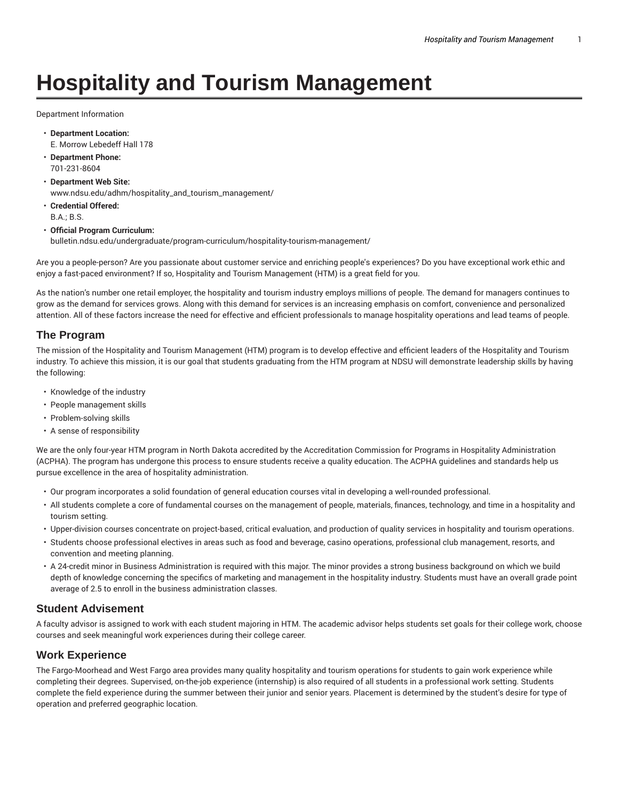# **Hospitality and Tourism Management**

Department Information

- **Department Location:** E. Morrow Lebedeff Hall 178
- **Department Phone:** 701-231-8604
- **Department Web Site:** www.ndsu.edu/adhm/hospitality\_and\_tourism\_management/
- **Credential Offered:** B.A.; B.S.

#### • **Official Program Curriculum:**

bulletin.ndsu.edu/undergraduate/program-curriculum/hospitality-tourism-management/

Are you a people-person? Are you passionate about customer service and enriching people's experiences? Do you have exceptional work ethic and enjoy a fast-paced environment? If so, Hospitality and Tourism Management (HTM) is a great field for you.

As the nation's number one retail employer, the hospitality and tourism industry employs millions of people. The demand for managers continues to grow as the demand for services grows. Along with this demand for services is an increasing emphasis on comfort, convenience and personalized attention. All of these factors increase the need for effective and efficient professionals to manage hospitality operations and lead teams of people.

#### **The Program**

The mission of the Hospitality and Tourism Management (HTM) program is to develop effective and efficient leaders of the Hospitality and Tourism industry. To achieve this mission, it is our goal that students graduating from the HTM program at NDSU will demonstrate leadership skills by having the following:

- Knowledge of the industry
- People management skills
- Problem-solving skills
- A sense of responsibility

We are the only four-year HTM program in North Dakota accredited by the Accreditation Commission for Programs in Hospitality Administration (ACPHA). The program has undergone this process to ensure students receive a quality education. The ACPHA guidelines and standards help us pursue excellence in the area of hospitality administration.

- Our program incorporates a solid foundation of general education courses vital in developing a well-rounded professional.
- All students complete a core of fundamental courses on the management of people, materials, finances, technology, and time in a hospitality and tourism setting.
- Upper-division courses concentrate on project-based, critical evaluation, and production of quality services in hospitality and tourism operations.
- Students choose professional electives in areas such as food and beverage, casino operations, professional club management, resorts, and convention and meeting planning.
- A 24-credit minor in Business Administration is required with this major. The minor provides a strong business background on which we build depth of knowledge concerning the specifics of marketing and management in the hospitality industry. Students must have an overall grade point average of 2.5 to enroll in the business administration classes.

#### **Student Advisement**

A faculty advisor is assigned to work with each student majoring in HTM. The academic advisor helps students set goals for their college work, choose courses and seek meaningful work experiences during their college career.

#### **Work Experience**

The Fargo-Moorhead and West Fargo area provides many quality hospitality and tourism operations for students to gain work experience while completing their degrees. Supervised, on-the-job experience (internship) is also required of all students in a professional work setting. Students complete the field experience during the summer between their junior and senior years. Placement is determined by the student's desire for type of operation and preferred geographic location.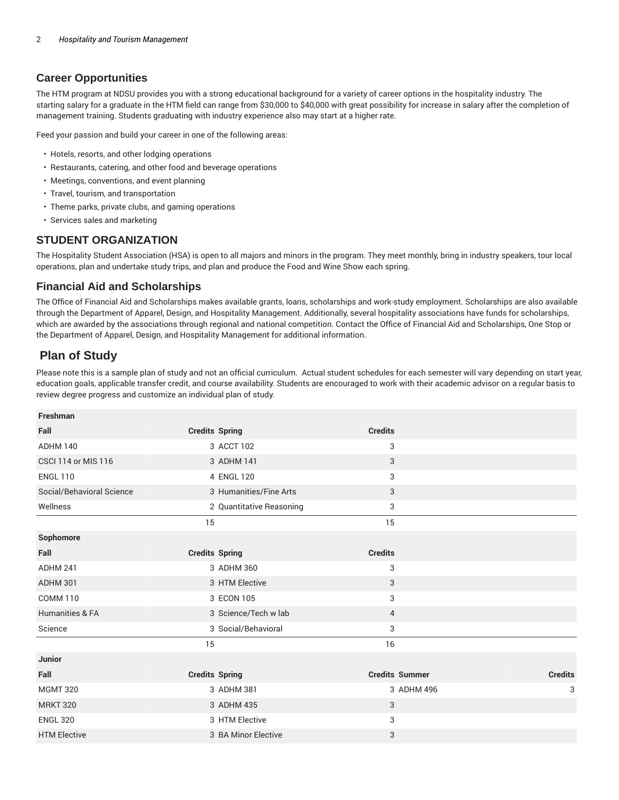## **Career Opportunities**

The HTM program at NDSU provides you with a strong educational background for a variety of career options in the hospitality industry. The starting salary for a graduate in the HTM field can range from \$30,000 to \$40,000 with great possibility for increase in salary after the completion of management training. Students graduating with industry experience also may start at a higher rate.

Feed your passion and build your career in one of the following areas:

- Hotels, resorts, and other lodging operations
- Restaurants, catering, and other food and beverage operations
- Meetings, conventions, and event planning
- Travel, tourism, and transportation
- Theme parks, private clubs, and gaming operations
- Services sales and marketing

## **STUDENT ORGANIZATION**

The Hospitality Student Association (HSA) is open to all majors and minors in the program. They meet monthly, bring in industry speakers, tour local operations, plan and undertake study trips, and plan and produce the Food and Wine Show each spring.

### **Financial Aid and Scholarships**

The Office of Financial Aid and Scholarships makes available grants, loans, scholarships and work-study employment. Scholarships are also available through the Department of Apparel, Design, and Hospitality Management. Additionally, several hospitality associations have funds for scholarships, which are awarded by the associations through regional and national competition. Contact the Office of Financial Aid and Scholarships, One Stop or the Department of Apparel, Design, and Hospitality Management for additional information.

## **Plan of Study**

Please note this is a sample plan of study and not an official curriculum. Actual student schedules for each semester will vary depending on start year, education goals, applicable transfer credit, and course availability. Students are encouraged to work with their academic advisor on a regular basis to review degree progress and customize an individual plan of study.

| Freshman                   |                          |                       |                |
|----------------------------|--------------------------|-----------------------|----------------|
| Fall                       | <b>Credits Spring</b>    | <b>Credits</b>        |                |
| <b>ADHM 140</b>            | 3 ACCT 102               | 3                     |                |
| <b>CSCI 114 or MIS 116</b> | 3 ADHM 141               | 3                     |                |
| <b>ENGL 110</b>            | 4 ENGL 120               | 3                     |                |
| Social/Behavioral Science  | 3 Humanities/Fine Arts   | 3                     |                |
| Wellness                   | 2 Quantitative Reasoning | 3                     |                |
|                            | 15                       | 15                    |                |
| Sophomore                  |                          |                       |                |
| Fall                       | <b>Credits Spring</b>    | <b>Credits</b>        |                |
| ADHM 241                   | 3 ADHM 360               | 3                     |                |
| ADHM 301                   | 3 HTM Elective           | 3                     |                |
| <b>COMM 110</b>            | 3 ECON 105               | 3                     |                |
| Humanities & FA            | 3 Science/Tech w lab     | $\overline{4}$        |                |
| Science                    | 3 Social/Behavioral      | 3                     |                |
|                            | 15                       | 16                    |                |
| Junior                     |                          |                       |                |
| Fall                       | <b>Credits Spring</b>    | <b>Credits Summer</b> | <b>Credits</b> |
| <b>MGMT 320</b>            | 3 ADHM 381               | 3 ADHM 496            | 3              |
| <b>MRKT 320</b>            | 3 ADHM 435               | 3                     |                |
| <b>ENGL 320</b>            | 3 HTM Elective           | 3                     |                |
| <b>HTM Elective</b>        | 3 BA Minor Elective      | 3                     |                |